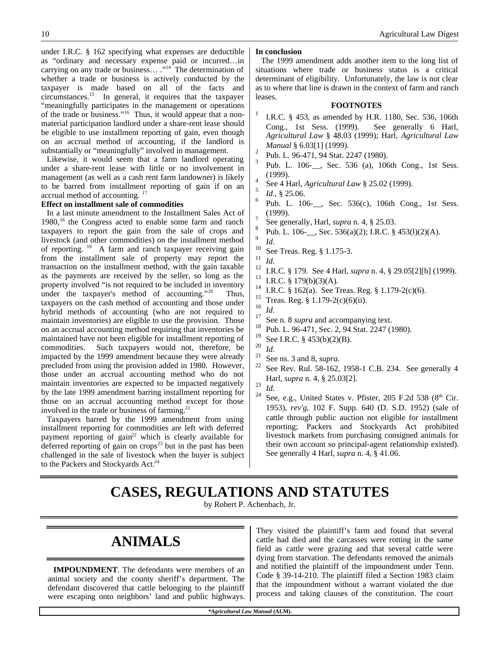under I.R.C. § 162 specifying what expenses are deductible as "ordinary and necessary expense paid or incurred…in carrying on any trade or business… ."<sup>14</sup> The determination of whether a trade or business is actively conducted by the taxpayer is made based on all of the facts and circumstances.<sup>15</sup> In general, it requires that the taxpayer "meaningfully participates in the management or operations of the trade or business."16 Thus, it would appear that a nonmaterial participation landlord under a share-rent lease should be eligible to use installment reporting of gain, even though on an accrual method of accounting, if the landlord is substantially or "meaningfully" involved in management.

Likewise, it would seem that a farm landlord operating under a share-rent lease with little or no involvement in management (as well as a cash rent farm landowner) is likely to be barred from installment reporting of gain if on an accrual method of accounting. <sup>17</sup>

#### **Effect on installment sale of commodities**

In a last minute amendment to the Installment Sales Act of 1980,<sup>18</sup> the Congress acted to enable some farm and ranch taxpayers to report the gain from the sale of crops and livestock (and other commodities) on the installment method of reporting.  $19$  A farm and ranch taxpayer receiving gain from the installment sale of property may report the transaction on the installment method, with the gain taxable as the payments are received by the seller, so long as the property involved "is not required to be included in inventory under the taxpayer's method of accounting."<sup>20</sup> Thus, taxpayers on the cash method of accounting and those under hybrid methods of accounting (who are not required to maintain inventories) are eligible to use the provision. Those on an accrual accounting method requiring that inventories be maintained have not been eligible for installment reporting of commodities. Such taxpayers would not, therefore, be impacted by the 1999 amendment because they were already precluded from using the provision added in 1980. However, those under an accrual accounting method who do not maintain inventories are expected to be impacted negatively by the late 1999 amendment barring installment reporting for those on an accrual accounting method except for those involved in the trade or business of farming. $^{21}$ 

Taxpayers barred by the 1999 amendment from using installment reporting for commodities are left with deferred payment reporting of gain<sup>22</sup> which is clearly available for deferred reporting of gain on  $\text{crops}^{23}$  but in the past has been challenged in the sale of livestock when the buyer is subject to the Packers and Stockyards Act.<sup>24</sup>

#### **In conclusion**

The 1999 amendment adds another item to the long list of situations where trade or business status is a critical determinant of eligibility. Unfortunately, the law is not clear as to where that line is drawn in the context of farm and ranch leases.

#### **FOOTNOTES**

- 1 I.R.C. § 453, as amended by H.R. 1180, Sec. 536, 106th Cong., 1st Sess. (1999). See generally 6 Harl, *Agricultural Law* § 48.03 (1999); Harl, *Agricultural Law Manual* § 6.03[1] (1999).
- 2 Pub. L. 96-471, 94 Stat. 2247 (1980).
- 3 Pub. L. 106-\_\_, Sec. 536 (a), 106th Cong., 1st Sess. (1999).
- 4 See 4 Harl, *Agricultural Law* § 25.02 (1999).
- 5 *Id.*, § 25.06.
- 6 Pub. L. 106-, Sec. 536(c), 106th Cong., 1st Sess. (1999). 7
- See generally, Harl, *supra* n. 4, § 25.03.
- 8 Pub. L. 106-\_\_, Sec. 536(a)(2); I.R.C. § 453(l)(2)(A). 9
	- *Id*.
- $^{10}$  See Treas. Reg. § 1.175-3.
- $\frac{11}{12}$  *Id.*
- <sup>12</sup> I.R.C. § 179. See 4 Harl, *supra* n. 4, § 29.05[2][b] (1999).
- <sup>13</sup> I.R.C. § 179(b)(3)(A).
- <sup>14</sup> I.R.C. § 162(a). See Treas. Reg. § 1.179-2(c)(6).
- <sup>15</sup> Treas. Reg. § 1.179-2(c)(6)(ii).<br><sup>16</sup> L<sub>1</sub>
- $\frac{16}{17}$  *Id.*
- $\frac{17}{18}$  See n. 8 *supra* and accompanying text.
- <sup>18</sup> Pub. L. 96-471, Sec. 2, 94 Stat. 2247 (1980).
- $^{19}_{20}$  See I.R.C. § 453(b)(2)(B).
- $\frac{20}{21}$  *Id.*
- See ns. 3 and 8, *supra*.
- See Rev. Rul. 58-162, 1958-1 C.B. 234. See generally 4 Harl, *supra* n. 4, § 25.03[2].
- $\frac{23}{24}$  *Id.* 
	- See, e.g., United States v. Pfister, 205 F.2d 538 ( $8<sup>th</sup>$  Cir. 1953), *rev'g*, 102 F. Supp. 640 (D. S.D. 1952) (sale of cattle through public auction not eligible for installment reporting; Packers and Stockyards Act prohibited livestock markets from purchasing consigned animals for their own account so principal-agent relationship existed). See generally 4 Harl, *supra* n. 4, § 41.06.

# **CASES, REGULATIONS AND STATUTES**

by Robert P. Achenbach, Jr.

# **ANIMALS**

**IMPOUNDMENT**. The defendants were members of an animal society and the county sheriff's department. The defendant discovered that cattle belonging to the plaintiff were escaping onto neighbors' land and public highways. They visited the plaintiff's farm and found that several cattle had died and the carcasses were rotting in the same field as cattle were grazing and that several cattle were dying from starvation. The defendants removed the animals and notified the plaintiff of the impoundment under Tenn. Code § 39-14-210. The plaintiff filed a Section 1983 claim that the impoundment without a warrant violated the due process and taking clauses of the constitution. The court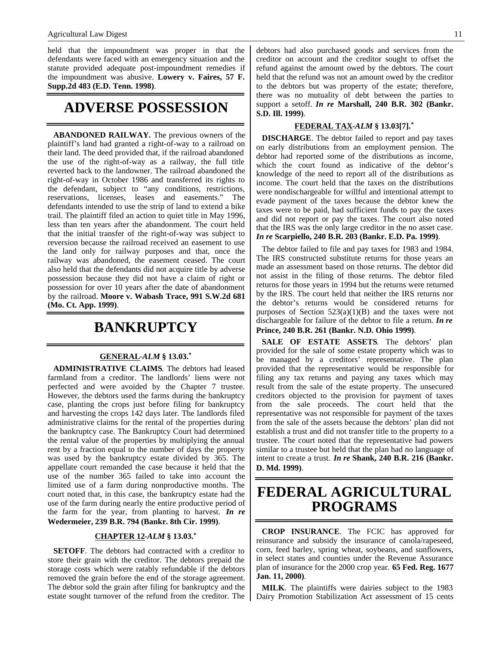held that the impoundment was proper in that the defendants were faced with an emergency situation and the statute provided adequate post-impoundment remedies if the impoundment was abusive. **Lowery v. Faires, 57 F. Supp.2d 483 (E.D. Tenn. 1998)**.

### **ADVERSE POSSESSION**

**ABANDONED RAILWAY.** The previous owners of the plaintiff's land had granted a right-of-way to a railroad on their land. The deed provided that, if the railroad abandoned the use of the right-of-way as a railway, the full title reverted back to the landowner. The railroad abandoned the right-of-way in October 1986 and transferred its rights to the defendant, subject to "any conditions, restrictions, reservations, licenses, leases and easements." The defendants intended to use the strip of land to extend a bike trail. The plaintiff filed an action to quiet title in May 1996, less than ten years after the abandonment. The court held that the initial transfer of the right-of-way was subject to reversion because the railroad received an easement to use the land only for railway purposes and that, once the railway was abandoned, the easement ceased. The court also held that the defendants did not acquire title by adverse possession because they did not have a claim of right or possession for over 10 years after the date of abandonment by the railroad. **Moore v. Wabash Trace, 991 S.W.2d 681 (Mo. Ct. App. 1999)**.

## **BANKRUPTCY**

#### **GENERAL -***ALM* **§ 13.03.\***

**ADMINISTRATIVE CLAIMS**. The debtors had leased farmland from a creditor. The landlords' liens were not perfected and were avoided by the Chapter 7 trustee. However, the debtors used the farms during the bankruptcy case, planting the crops just before filing for bankruptcy and harvesting the crops 142 days later. The landlords filed administrative claims for the rental of the properties during the bankruptcy case. The Bankruptcy Court had determined the rental value of the properties by multiplying the annual rent by a fraction equal to the number of days the property was used by the bankruptcy estate divided by 365. The appellate court remanded the case because it held that the use of the number 365 failed to take into account the limited use of a farm during nonproductive months. The court noted that, in this case, the bankruptcy estate had the use of the farm during nearly the entire productive period of the farm for the year, from planting to harvest. *In re* **Wedermeier, 239 B.R. 794 (Bankr. 8th Cir. 1999)**.

#### **CHAPTER 12 -***ALM* **§ 13.03.\***

**SETOFF**. The debtors had contracted with a creditor to store their grain with the creditor. The debtors prepaid the storage costs which were ratably refundable if the debtors removed the grain before the end of the storage agreement. The debtor sold the grain after filing for bankruptcy and the estate sought turnover of the refund from the creditor. The debtors had also purchased goods and services from the creditor on account and the creditor sought to offset the refund against the amount owed by the debtors. The court held that the refund was not an amount owed by the creditor to the debtors but was property of the estate; therefore, there was no mutuality of debt between the parties to support a setoff. *In re* **Marshall, 240 B.R. 302 (Bankr. S.D. Ill. 1999)**.

#### **FEDERAL TAX -***ALM* **§ 13.03[7].\***

**DISCHARGE**. The debtor failed to report and pay taxes on early distributions from an employment pension. The debtor had reported some of the distributions as income, which the court found as indicative of the debtor's knowledge of the need to report all of the distributions as income. The court held that the taxes on the distributions were nondischargeable for willful and intentional attempt to evade payment of the taxes because the debtor knew the taxes were to be paid, had sufficient funds to pay the taxes and did not report or pay the taxes. The court also noted that the IRS was the only large creditor in the no asset case. *In re* **Scarpiello, 240 B.R. 203 (Bankr. E.D. Pa. 1999)**.

The debtor failed to file and pay taxes for 1983 and 1984. The IRS constructed substitute returns for those years an made an assessment based on those returns. The debtor did not assist in the filing of those returns. The debtor filed returns for those years in 1994 but the returns were returned by the IRS. The court held that neither the IRS returns nor the debtor's returns would be considered returns for purposes of Section  $523(a)(1)(B)$  and the taxes were not dischargeable for failure of the debtor to file a return. *In re* **Prince, 240 B.R. 261 (Bankr. N.D. Ohio 1999)**.

**SALE OF ESTATE ASSETS**. The debtors' plan provided for the sale of some estate property which was to be managed by a creditors' representative. The plan provided that the representative would be responsible for filing any tax returns and paying any taxes which may result from the sale of the estate property. The unsecured creditors objected to the provision for payment of taxes from the sale proceeds. The court held that the representative was not responsible for payment of the taxes from the sale of the assets because the debtors' plan did not establish a trust and did not transfer title to the property to a trustee. The court noted that the representative had powers similar to a trustee but held that the plan had no language of intent to create a trust. *In re* **Shank, 240 B.R. 216 (Bankr. D. Md. 1999)**.

### **FEDERAL AGRICULTURAL PROGRAMS**

**CROP INSURANCE**. The FCIC has approved for reinsurance and subsidy the insurance of canola/rapeseed, corn, feed barley, spring wheat, soybeans, and sunflowers, in select states and counties under the Revenue Assurance plan of insurance for the 2000 crop year. **65 Fed. Reg. 1677 Jan. 11, 2000)**.

**MILK**. The plaintiffs were dairies subject to the 1983 Dairy Promotion Stabilization Act assessment of 15 cents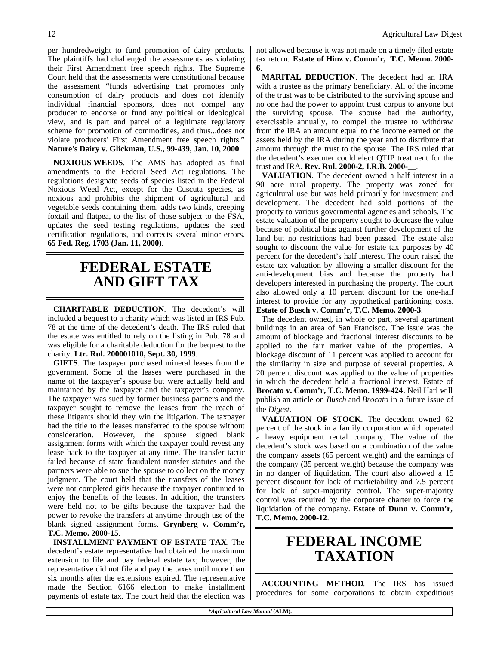per hundredweight to fund promotion of dairy products. The plaintiffs had challenged the assessments as violating their First Amendment free speech rights. The Supreme Court held that the assessments were constitutional because the assessment "funds advertising that promotes only consumption of dairy products and does not identify individual financial sponsors, does not compel any producer to endorse or fund any political or ideological view, and is part and parcel of a legitimate regulatory scheme for promotion of commodities, and thus...does not violate producers' First Amendment free speech rights." **Nature's Dairy v. Glickman, U.S., 99-439, Jan. 10, 2000**.

**NOXIOUS WEEDS**. The AMS has adopted as final amendments to the Federal Seed Act regulations. The regulations designate seeds of species listed in the Federal Noxious Weed Act, except for the Cuscuta species, as noxious and prohibits the shipment of agricultural and vegetable seeds containing them, adds two kinds, creeping foxtail and flatpea, to the list of those subject to the FSA, updates the seed testing regulations, updates the seed certification regulations, and corrects several minor errors. **65 Fed. Reg. 1703 (Jan. 11, 2000)**.

# **FEDERAL ESTATE AND GIFT TAX**

**CHARITABLE DEDUCTION**. The decedent's will included a bequest to a charity which was listed in IRS Pub. 78 at the time of the decedent's death. The IRS ruled that the estate was entitled to rely on the listing in Pub. 78 and was eligible for a charitable deduction for the bequest to the charity. **Ltr. Rul. 200001010, Sept. 30, 1999**.

**GIFTS**. The taxpayer purchased mineral leases from the government. Some of the leases were purchased in the name of the taxpayer's spouse but were actually held and maintained by the taxpayer and the taxpayer's company. The taxpayer was sued by former business partners and the taxpayer sought to remove the leases from the reach of these litigants should they win the litigation. The taxpayer had the title to the leases transferred to the spouse without consideration. However, the spouse signed blank assignment forms with which the taxpayer could revest any lease back to the taxpayer at any time. The transfer tactic failed because of state fraudulent transfer statutes and the partners were able to sue the spouse to collect on the money judgment. The court held that the transfers of the leases were not completed gifts because the taxpayer continued to enjoy the benefits of the leases. In addition, the transfers were held not to be gifts because the taxpayer had the power to revoke the transfers at anytime through use of the blank signed assignment forms. **Grynberg v. Comm'r, T.C. Memo. 2000-15**.

**INSTALLMENT PAYMENT OF ESTATE TAX**. The decedent's estate representative had obtained the maximum extension to file and pay federal estate tax; however, the representative did not file and pay the taxes until more than six months after the extensions expired. The representative made the Section 6166 election to make installment payments of estate tax. The court held that the election was

12 Agricultural Law Digest

not allowed because it was not made on a timely filed estate tax return. **Estate of Hinz v. Comm'r, T.C. Memo. 2000- 6**.

**MARITAL DEDUCTION**. The decedent had an IRA with a trustee as the primary beneficiary. All of the income of the trust was to be distributed to the surviving spouse and no one had the power to appoint trust corpus to anyone but the surviving spouse. The spouse had the authority, exercisable annually, to compel the trustee to withdraw from the IRA an amount equal to the income earned on the assets held by the IRA during the year and to distribute that amount through the trust to the spouse. The IRS ruled that the decedent's executer could elect QTIP treatment for the trust and IRA. **Rev. Rul. 2000-2, I.R.B. 2000-\_\_**.

**VALUATION**. The decedent owned a half interest in a 90 acre rural property. The property was zoned for agricultural use but was held primarily for investment and development. The decedent had sold portions of the property to various governmental agencies and schools. The estate valuation of the property sought to decrease the value because of political bias against further development of the land but no restrictions had been passed. The estate also sought to discount the value for estate tax purposes by 40 percent for the decedent's half interest. The court raised the estate tax valuation by allowing a smaller discount for the anti-development bias and because the property had developers interested in purchasing the property. The court also allowed only a 10 percent discount for the one-half interest to provide for any hypothetical partitioning costs. **Estate of Busch v. Comm'r, T.C. Memo. 2000-3**.

The decedent owned, in whole or part, several apartment buildings in an area of San Francisco. The issue was the amount of blockage and fractional interest discounts to be applied to the fair market value of the properties. A blockage discount of 11 percent was applied to account for the similarity in size and purpose of several properties. A 20 percent discount was applied to the value of properties in which the decedent held a fractional interest. Estate of **Brocato v. Comm'r, T.C. Memo. 1999-424**. Neil Harl will publish an article on *Busch* and *Brocato* in a future issue of the *Digest*.

**VALUATION OF STOCK**. The decedent owned 62 percent of the stock in a family corporation which operated a heavy equipment rental company. The value of the decedent's stock was based on a combination of the value the company assets (65 percent weight) and the earnings of the company (35 percent weight) because the company was in no danger of liquidation. The court also allowed a 15 percent discount for lack of marketability and 7.5 percent for lack of super-majority control. The super-majority control was required by the corporate charter to force the liquidation of the company. **Estate of Dunn v. Comm'r, T.C. Memo. 2000-12**.

# **FEDERAL INCOME TAXATION**

**ACCOUNTING METHOD**. The IRS has issued procedures for some corporations to obtain expeditious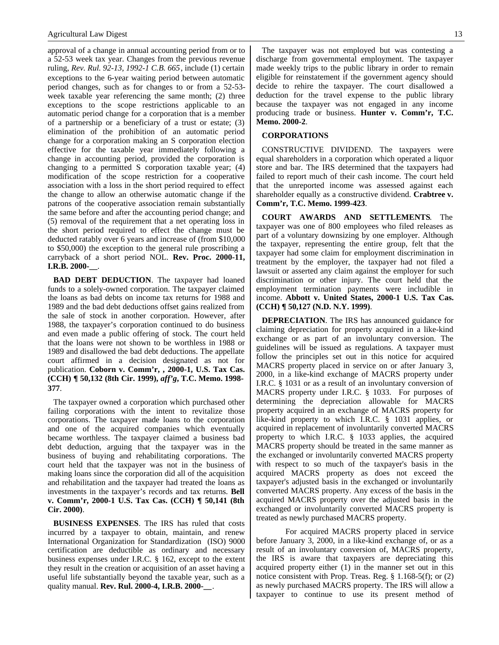approval of a change in annual accounting period from or to a 52-53 week tax year. Changes from the previous revenue ruling, *Rev. Rul. 92-13, 1992-1 C.B. 665*, include (1) certain exceptions to the 6-year waiting period between automatic period changes, such as for changes to or from a 52-53 week taxable year referencing the same month; (2) three exceptions to the scope restrictions applicable to an automatic period change for a corporation that is a member of a partnership or a beneficiary of a trust or estate; (3) elimination of the prohibition of an automatic period change for a corporation making an S corporation election effective for the taxable year immediately following a change in accounting period, provided the corporation is changing to a permitted S corporation taxable year; (4) modification of the scope restriction for a cooperative association with a loss in the short period required to effect the change to allow an otherwise automatic change if the patrons of the cooperative association remain substantially the same before and after the accounting period change; and (5) removal of the requirement that a net operating loss in the short period required to effect the change must be deducted ratably over 6 years and increase of (from \$10,000 to \$50,000) the exception to the general rule proscribing a carryback of a short period NOL. **Rev. Proc. 2000-11, I.R.B. 2000-\_\_**.

**BAD DEBT DEDUCTION**. The taxpayer had loaned funds to a solely-owned corporation. The taxpayer claimed the loans as bad debts on income tax returns for 1988 and 1989 and the bad debt deductions offset gains realized from the sale of stock in another corporation. However, after 1988, the taxpayer's corporation continued to do business and even made a public offering of stock. The court held that the loans were not shown to be worthless in 1988 or 1989 and disallowed the bad debt deductions. The appellate court affirmed in a decision designated as not for publication. **Coborn v. Comm'r, , 2000-1, U.S. Tax Cas. (CCH) ¶ 50,132 (8th Cir. 1999),** *aff'g***, T.C. Memo. 1998- 377**.

The taxpayer owned a corporation which purchased other failing corporations with the intent to revitalize those corporations. The taxpayer made loans to the corporation and one of the acquired companies which eventually became worthless. The taxpayer claimed a business bad debt deduction, arguing that the taxpayer was in the business of buying and rehabilitating corporations. The court held that the taxpayer was not in the business of making loans since the corporation did all of the acquisition and rehabilitation and the taxpayer had treated the loans as investments in the taxpayer's records and tax returns. **Bell v. Comm'r, 2000-1 U.S. Tax Cas. (CCH) ¶ 50,141 (8th Cir. 2000)**.

**BUSINESS EXPENSES**. The IRS has ruled that costs incurred by a taxpayer to obtain, maintain, and renew International Organization for Standardization (ISO) 9000 certification are deductible as ordinary and necessary business expenses under I.R.C. § 162, except to the extent they result in the creation or acquisition of an asset having a useful life substantially beyond the taxable year, such as a quality manual. **Rev. Rul. 2000-4, I.R.B. 2000-\_\_**.

The taxpayer was not employed but was contesting a discharge from governmental employment. The taxpayer made weekly trips to the public library in order to remain eligible for reinstatement if the government agency should decide to rehire the taxpayer. The court disallowed a deduction for the travel expense to the public library because the taxpayer was not engaged in any income producing trade or business. **Hunter v. Comm'r, T.C. Memo. 2000-2**.

#### **CORPORATIONS**

CONSTRUCTIVE DIVIDEND. The taxpayers were equal shareholders in a corporation which operated a liquor store and bar. The IRS determined that the taxpayers had failed to report much of their cash income. The court held that the unreported income was assessed against each shareholder equally as a constructive dividend. **Crabtree v. Comm'r, T.C. Memo. 1999-423**.

**COURT AWARDS AND SETTLEMENTS**. The taxpayer was one of 800 employees who filed releases as part of a voluntary downsizing by one employer. Although the taxpayer, representing the entire group, felt that the taxpayer had some claim for employment discrimination in treatment by the employer, the taxpayer had not filed a lawsuit or asserted any claim against the employer for such discrimination or other injury. The court held that the employment termination payments were includible in income. **Abbott v. United States, 2000-1 U.S. Tax Cas. (CCH) ¶ 50,127 (N.D. N.Y. 1999)**.

**DEPRECIATION**. The IRS has announced guidance for claiming depreciation for property acquired in a like-kind exchange or as part of an involuntary conversion. The guidelines will be issued as regulations. A taxpayer must follow the principles set out in this notice for acquired MACRS property placed in service on or after January 3, 2000, in a like-kind exchange of MACRS property under I.R.C. § 1031 or as a result of an involuntary conversion of MACRS property under I.R.C. § 1033. For purposes of determining the depreciation allowable for MACRS property acquired in an exchange of MACRS property for like-kind property to which I.R.C. § 1031 applies, or acquired in replacement of involuntarily converted MACRS property to which I.R.C. § 1033 applies, the acquired MACRS property should be treated in the same manner as the exchanged or involuntarily converted MACRS property with respect to so much of the taxpayer's basis in the acquired MACRS property as does not exceed the taxpayer's adjusted basis in the exchanged or involuntarily converted MACRS property. Any excess of the basis in the acquired MACRS property over the adjusted basis in the exchanged or involuntarily converted MACRS property is treated as newly purchased MACRS property.

 For acquired MACRS property placed in service before January 3, 2000, in a like-kind exchange of, or as a result of an involuntary conversion of, MACRS property, the IRS is aware that taxpayers are depreciating this acquired property either (1) in the manner set out in this notice consistent with Prop. Treas. Reg. § 1.168-5(f); or (2) as newly purchased MACRS property. The IRS will allow a taxpayer to continue to use its present method of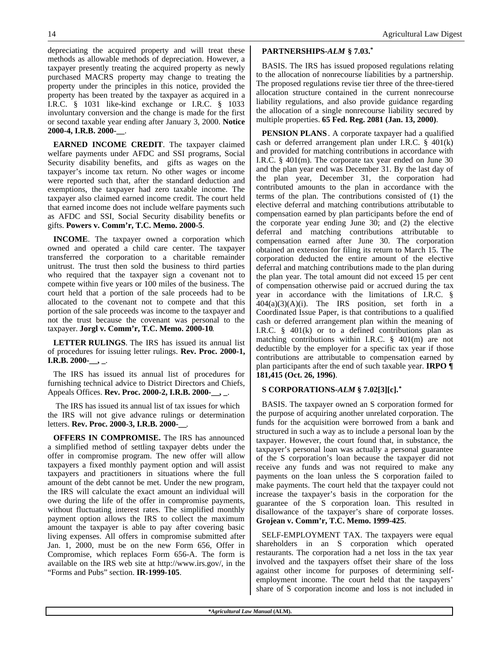depreciating the acquired property and will treat these methods as allowable methods of depreciation. However, a taxpayer presently treating the acquired property as newly purchased MACRS property may change to treating the property under the principles in this notice, provided the property has been treated by the taxpayer as acquired in a I.R.C. § 1031 like-kind exchange or I.R.C. § 1033 involuntary conversion and the change is made for the first or second taxable year ending after January 3, 2000. **Notice 2000-4, I.R.B. 2000-\_\_**.

**EARNED INCOME CREDIT**. The taxpayer claimed welfare payments under AFDC and SSI programs, Social Security disability benefits, and gifts as wages on the taxpayer's income tax return. No other wages or income were reported such that, after the standard deduction and exemptions, the taxpayer had zero taxable income. The taxpayer also claimed earned income credit. The court held that earned income does not include welfare payments such as AFDC and SSI, Social Security disability benefits or gifts. **Powers v. Comm'r, T.C. Memo. 2000-5**.

**INCOME**. The taxpayer owned a corporation which owned and operated a child care center. The taxpayer transferred the corporation to a charitable remainder unitrust. The trust then sold the business to third parties who required that the taxpayer sign a covenant not to compete within five years or 100 miles of the business. The court held that a portion of the sale proceeds had to be allocated to the covenant not to compete and that this portion of the sale proceeds was income to the taxpayer and not the trust because the covenant was personal to the taxpayer. **Jorgl v. Comm'r, T.C. Memo. 2000-10**.

**LETTER RULINGS**. The IRS has issued its annual list of procedures for issuing letter rulings. **Rev. Proc. 2000-1, I.R.B. 2000-\_\_, \_**.

The IRS has issued its annual list of procedures for furnishing technical advice to District Directors and Chiefs, Appeals Offices. **Rev. Proc. 2000-2, I.R.B. 2000-\_\_, \_**.

 The IRS has issued its annual list of tax issues for which the IRS will not give advance rulings or determination letters. **Rev. Proc. 2000-3, I.R.B. 2000-\_\_**.

**OFFERS IN COMPROMISE.** The IRS has announced a simplified method of settling taxpayer debts under the offer in compromise program. The new offer will allow taxpayers a fixed monthly payment option and will assist taxpayers and practitioners in situations where the full amount of the debt cannot be met. Under the new program, the IRS will calculate the exact amount an individual will owe during the life of the offer in compromise payments, without fluctuating interest rates. The simplified monthly payment option allows the IRS to collect the maximum amount the taxpayer is able to pay after covering basic living expenses. All offers in compromise submitted after Jan. 1, 2000, must be on the new Form 656, Offer in Compromise, which replaces Form 656-A. The form is available on the IRS web site at http://www.irs.gov/, in the "Forms and Pubs" section. **IR-1999-105**.

#### **PARTNERSHIPS-***ALM* **§ 7.03.\***

BASIS. The IRS has issued proposed regulations relating to the allocation of nonrecourse liabilities by a partnership. The proposed regulations revise tier three of the three-tiered allocation structure contained in the current nonrecourse liability regulations, and also provide guidance regarding the allocation of a single nonrecourse liability secured by multiple properties. **65 Fed. Reg. 2081 (Jan. 13, 2000)**.

**PENSION PLANS**. A corporate taxpayer had a qualified cash or deferred arrangement plan under I.R.C. § 401(k) and provided for matching contributions in accordance with I.R.C. § 401(m). The corporate tax year ended on June 30 and the plan year end was December 31. By the last day of the plan year, December 31, the corporation had contributed amounts to the plan in accordance with the terms of the plan. The contributions consisted of (1) the elective deferral and matching contributions attributable to compensation earned by plan participants before the end of the corporate year ending June 30; and (2) the elective deferral and matching contributions attributable to compensation earned after June 30. The corporation obtained an extension for filing its return to March 15. The corporation deducted the entire amount of the elective deferral and matching contributions made to the plan during the plan year. The total amount did not exceed 15 per cent of compensation otherwise paid or accrued during the tax year in accordance with the limitations of I.R.C. §  $404(a)(3)(A)(i)$ . The IRS position, set forth in a Coordinated Issue Paper, is that contributions to a qualified cash or deferred arrangement plan within the meaning of I.R.C.  $\frac{8}{9}$  401(k) or to a defined contributions plan as matching contributions within I.R.C. § 401(m) are not deductible by the employer for a specific tax year if those contributions are attributable to compensation earned by plan participants after the end of such taxable year. **IRPO ¶ 181,415 (Oct. 26, 1996)**.

#### **S CORPORATIONS-***ALM* **§ 7.02[3][c].\***

BASIS. The taxpayer owned an S corporation formed for the purpose of acquiring another unrelated corporation. The funds for the acquisition were borrowed from a bank and structured in such a way as to include a personal loan by the taxpayer. However, the court found that, in substance, the taxpayer's personal loan was actually a personal guarantee of the S corporation's loan because the taxpayer did not receive any funds and was not required to make any payments on the loan unless the S corporation failed to make payments. The court held that the taxpayer could not increase the taxpayer's basis in the corporation for the guarantee of the S corporation loan. This resulted in disallowance of the taxpayer's share of corporate losses. **Grojean v. Comm'r, T.C. Memo. 1999-425**.

SELF-EMPLOYMENT TAX. The taxpayers were equal shareholders in an S corporation which operated restaurants. The corporation had a net loss in the tax year involved and the taxpayers offset their share of the loss against other income for purposes of determining selfemployment income. The court held that the taxpayers' share of S corporation income and loss is not included in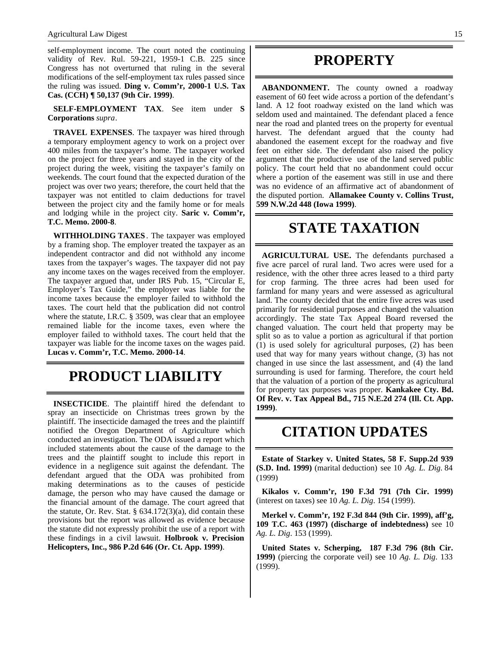self-employment income. The court noted the continuing validity of Rev. Rul. 59-221, 1959-1 C.B. 225 since Congress has not overturned that ruling in the several modifications of the self-employment tax rules passed since the ruling was issued. **Ding v. Comm'r, 2000-1 U.S. Tax Cas. (CCH) ¶ 50,137 (9th Cir. 1999)**.

**SELF-EMPLOYMENT TAX**. See item under **S Corporations** *supra*.

**TRAVEL EXPENSES**. The taxpayer was hired through a temporary employment agency to work on a project over 400 miles from the taxpayer's home. The taxpayer worked on the project for three years and stayed in the city of the project during the week, visiting the taxpayer's family on weekends. The court found that the expected duration of the project was over two years; therefore, the court held that the taxpayer was not entitled to claim deductions for travel between the project city and the family home or for meals and lodging while in the project city. **Saric v. Comm'r, T.C. Memo. 2000-8**.

**WITHHOLDING TAXES**. The taxpayer was employed by a framing shop. The employer treated the taxpayer as an independent contractor and did not withhold any income taxes from the taxpayer's wages. The taxpayer did not pay any income taxes on the wages received from the employer. The taxpayer argued that, under IRS Pub. 15, "Circular E, Employer's Tax Guide," the employer was liable for the income taxes because the employer failed to withhold the taxes. The court held that the publication did not control where the statute, I.R.C. § 3509, was clear that an employee remained liable for the income taxes, even where the employer failed to withhold taxes. The court held that the taxpayer was liable for the income taxes on the wages paid. **Lucas v. Comm'r, T.C. Memo. 2000-14**.

# **PRODUCT LIABILITY**

**INSECTICIDE**. The plaintiff hired the defendant to spray an insecticide on Christmas trees grown by the plaintiff. The insecticide damaged the trees and the plaintiff notified the Oregon Department of Agriculture which conducted an investigation. The ODA issued a report which included statements about the cause of the damage to the trees and the plaintiff sought to include this report in evidence in a negligence suit against the defendant. The defendant argued that the ODA was prohibited from making determinations as to the causes of pesticide damage, the person who may have caused the damage or the financial amount of the damage. The court agreed that the statute, Or. Rev. Stat. § 634.172(3)(a), did contain these provisions but the report was allowed as evidence because the statute did not expressly prohibit the use of a report with these findings in a civil lawsuit. **Holbrook v. Precision Helicopters, Inc., 986 P.2d 646 (Or. Ct. App. 1999)**.

### **PROPERTY**

**ABANDONMENT.** The county owned a roadway easement of 60 feet wide across a portion of the defendant's land. A 12 foot roadway existed on the land which was seldom used and maintained. The defendant placed a fence near the road and planted trees on the property for eventual harvest. The defendant argued that the county had abandoned the easement except for the roadway and five feet on either side. The defendant also raised the policy argument that the productive use of the land served public policy. The court held that no abandonment could occur where a portion of the easement was still in use and there was no evidence of an affirmative act of abandonment of the disputed portion. **Allamakee County v. Collins Trust, 599 N.W.2d 448 (Iowa 1999)**.

### **STATE TAXATION**

**AGRICULTURAL USE.** The defendants purchased a five acre parcel of rural land. Two acres were used for a residence, with the other three acres leased to a third party for crop farming. The three acres had been used for farmland for many years and were assessed as agricultural land. The county decided that the entire five acres was used primarily for residential purposes and changed the valuation accordingly. The state Tax Appeal Board reversed the changed valuation. The court held that property may be split so as to value a portion as agricultural if that portion (1) is used solely for agricultural purposes, (2) has been used that way for many years without change, (3) has not changed in use since the last assessment, and (4) the land surrounding is used for farming. Therefore, the court held that the valuation of a portion of the property as agricultural for property tax purposes was proper. **Kankakee Cty. Bd. Of Rev. v. Tax Appeal Bd., 715 N.E.2d 274 (Ill. Ct. App. 1999)**.

## **CITATION UPDATES**

**Estate of Starkey v. United States, 58 F. Supp.2d 939 (S.D. Ind. 1999)** (marital deduction) see 10 *Ag. L. Dig*. 84 (1999)

**Kikalos v. Comm'r, 190 F.3d 791 (7th Cir. 1999)** (interest on taxes) see 10 *Ag. L. Dig*. 154 (1999).

**Merkel v. Comm'r, 192 F.3d 844 (9th Cir. 1999), aff'g, 109 T.C. 463 (1997) (discharge of indebtedness)** see 10 *Ag. L. Dig*. 153 (1999).

**United States v. Scherping, 187 F.3d 796 (8th Cir. 1999)** (piercing the corporate veil) see 10 *Ag. L. Dig*. 133 (1999).